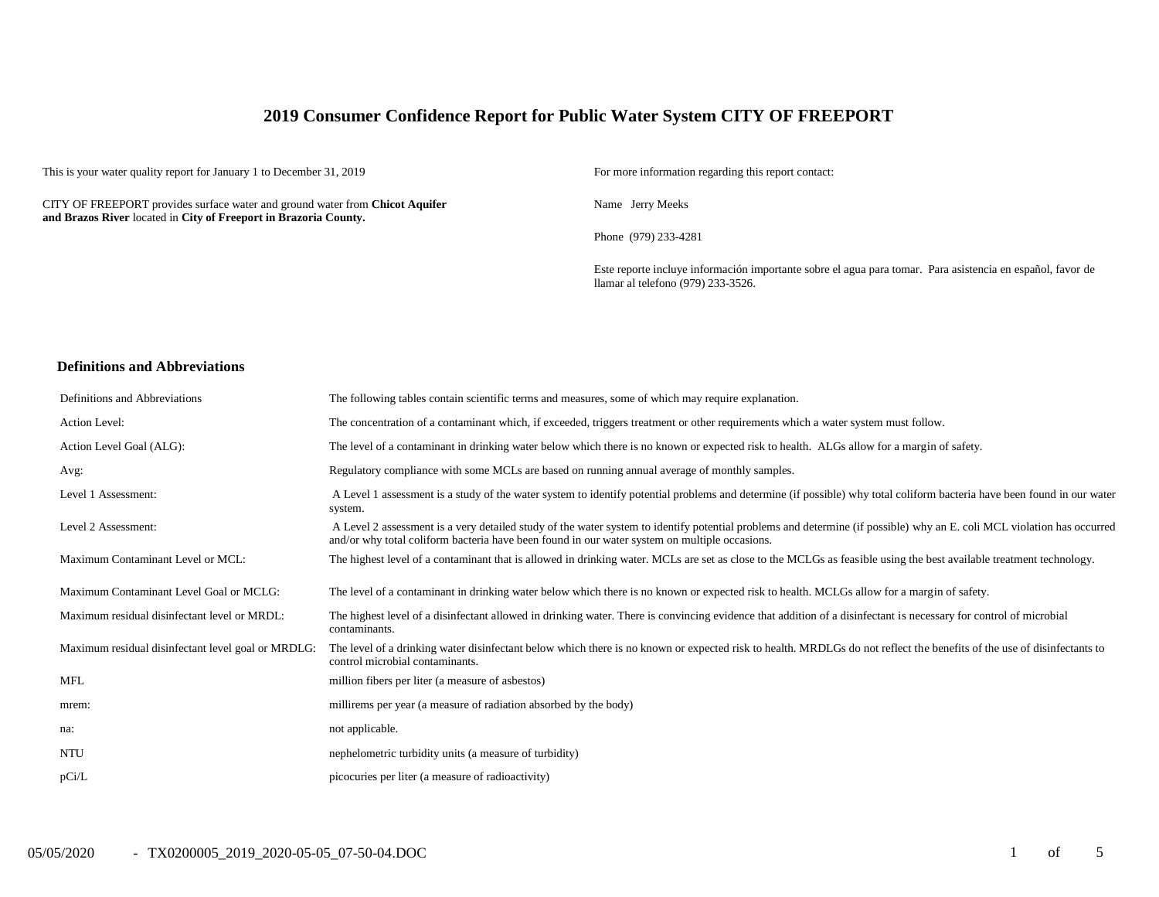# **2019 Consumer Confidence Report for Public Water System CITY OF FREEPORT**

This is your water quality report for January 1 to December 31, 2019 For more information regarding this report contact:

CITY OF FREEPORT provides surface water and ground water from **Chicot Aquifer and Brazos River** located in **City of Freeport in Brazoria County.**

Name Jerry Meeks

Phone (979) 233-4281

Este reporte incluye información importante sobre el agua para tomar. Para asistencia en español, favor de llamar al telefono (979) 233-3526.

#### **Definitions and Abbreviations**

| Definitions and Abbreviations                      | The following tables contain scientific terms and measures, some of which may require explanation.                                                                                                                                                                      |
|----------------------------------------------------|-------------------------------------------------------------------------------------------------------------------------------------------------------------------------------------------------------------------------------------------------------------------------|
| Action Level:                                      | The concentration of a contaminant which, if exceeded, triggers treatment or other requirements which a water system must follow.                                                                                                                                       |
| Action Level Goal (ALG):                           | The level of a contaminant in drinking water below which there is no known or expected risk to health. ALGs allow for a margin of safety.                                                                                                                               |
| Avg:                                               | Regulatory compliance with some MCLs are based on running annual average of monthly samples.                                                                                                                                                                            |
| Level 1 Assessment:                                | A Level 1 assessment is a study of the water system to identify potential problems and determine (if possible) why total coliform bacteria have been found in our water<br>system.                                                                                      |
| Level 2 Assessment:                                | A Level 2 assessment is a very detailed study of the water system to identify potential problems and determine (if possible) why an E. coli MCL violation has occurred<br>and/or why total coliform bacteria have been found in our water system on multiple occasions. |
| Maximum Contaminant Level or MCL:                  | The highest level of a contaminant that is allowed in drinking water. MCLs are set as close to the MCLGs as feasible using the best available treatment technology.                                                                                                     |
| Maximum Contaminant Level Goal or MCLG:            | The level of a contaminant in drinking water below which there is no known or expected risk to health. MCLGs allow for a margin of safety.                                                                                                                              |
| Maximum residual disinfectant level or MRDL:       | The highest level of a disinfectant allowed in drinking water. There is convincing evidence that addition of a disinfectant is necessary for control of microbial<br>contaminants.                                                                                      |
| Maximum residual disinfectant level goal or MRDLG: | The level of a drinking water disinfectant below which there is no known or expected risk to health. MRDLGs do not reflect the benefits of the use of disinfectants to<br>control microbial contaminants.                                                               |
| <b>MFL</b>                                         | million fibers per liter (a measure of asbestos)                                                                                                                                                                                                                        |
| mrem:                                              | millirems per year (a measure of radiation absorbed by the body)                                                                                                                                                                                                        |
| na:                                                | not applicable.                                                                                                                                                                                                                                                         |
| <b>NTU</b>                                         | nephelometric turbidity units (a measure of turbidity)                                                                                                                                                                                                                  |
| pCi/L                                              | picocuries per liter (a measure of radioactivity)                                                                                                                                                                                                                       |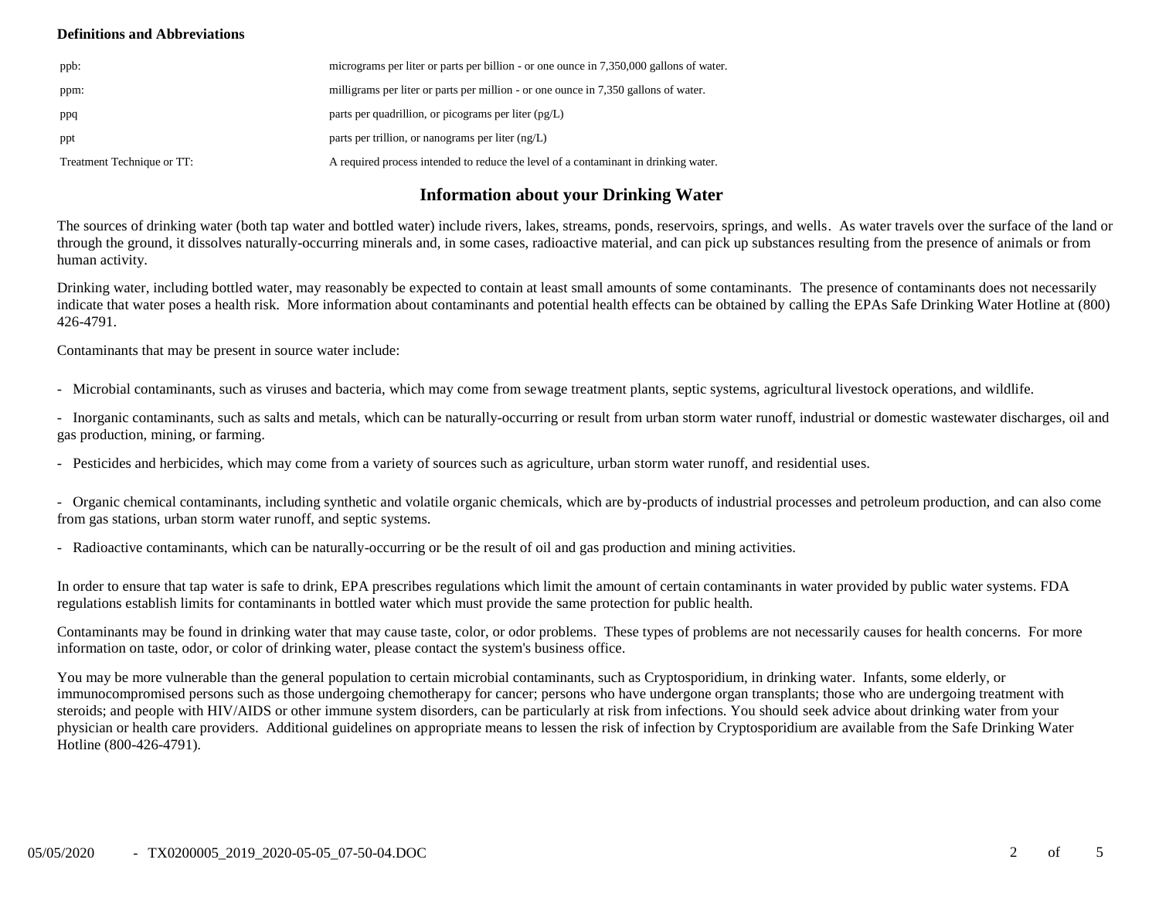## **Definitions and Abbreviations**

| ppb:                       | micrograms per liter or parts per billion - or one ounce in 7,350,000 gallons of water. |
|----------------------------|-----------------------------------------------------------------------------------------|
| ppm:                       | milligrams per liter or parts per million - or one ounce in 7,350 gallons of water.     |
| ppq                        | parts per quadrillion, or picograms per liter (pg/L)                                    |
| ppt                        | parts per trillion, or nanograms per liter $(ng/L)$                                     |
| Treatment Technique or TT: | A required process intended to reduce the level of a contaminant in drinking water.     |

# **Information about your Drinking Water**

The sources of drinking water (both tap water and bottled water) include rivers, lakes, streams, ponds, reservoirs, springs, and wells. As water travels over the surface of the land or through the ground, it dissolves naturally-occurring minerals and, in some cases, radioactive material, and can pick up substances resulting from the presence of animals or from human activity.

Drinking water, including bottled water, may reasonably be expected to contain at least small amounts of some contaminants. The presence of contaminants does not necessarily indicate that water poses a health risk. More information about contaminants and potential health effects can be obtained by calling the EPAs Safe Drinking Water Hotline at (800) 426-4791.

Contaminants that may be present in source water include:

- Microbial contaminants, such as viruses and bacteria, which may come from sewage treatment plants, septic systems, agricultural livestock operations, and wildlife.

- Inorganic contaminants, such as salts and metals, which can be naturally-occurring or result from urban storm water runoff, industrial or domestic wastewater discharges, oil and gas production, mining, or farming.

- Pesticides and herbicides, which may come from a variety of sources such as agriculture, urban storm water runoff, and residential uses.

- Organic chemical contaminants, including synthetic and volatile organic chemicals, which are by-products of industrial processes and petroleum production, and can also come from gas stations, urban storm water runoff, and septic systems.

- Radioactive contaminants, which can be naturally-occurring or be the result of oil and gas production and mining activities.

In order to ensure that tap water is safe to drink, EPA prescribes regulations which limit the amount of certain contaminants in water provided by public water systems. FDA regulations establish limits for contaminants in bottled water which must provide the same protection for public health.

Contaminants may be found in drinking water that may cause taste, color, or odor problems. These types of problems are not necessarily causes for health concerns. For more information on taste, odor, or color of drinking water, please contact the system's business office.

You may be more vulnerable than the general population to certain microbial contaminants, such as Cryptosporidium, in drinking water. Infants, some elderly, or immunocompromised persons such as those undergoing chemotherapy for cancer; persons who have undergone organ transplants; those who are undergoing treatment with steroids; and people with HIV/AIDS or other immune system disorders, can be particularly at risk from infections. You should seek advice about drinking water from your physician or health care providers. Additional guidelines on appropriate means to lessen the risk of infection by Cryptosporidium are available from the Safe Drinking Water Hotline (800-426-4791).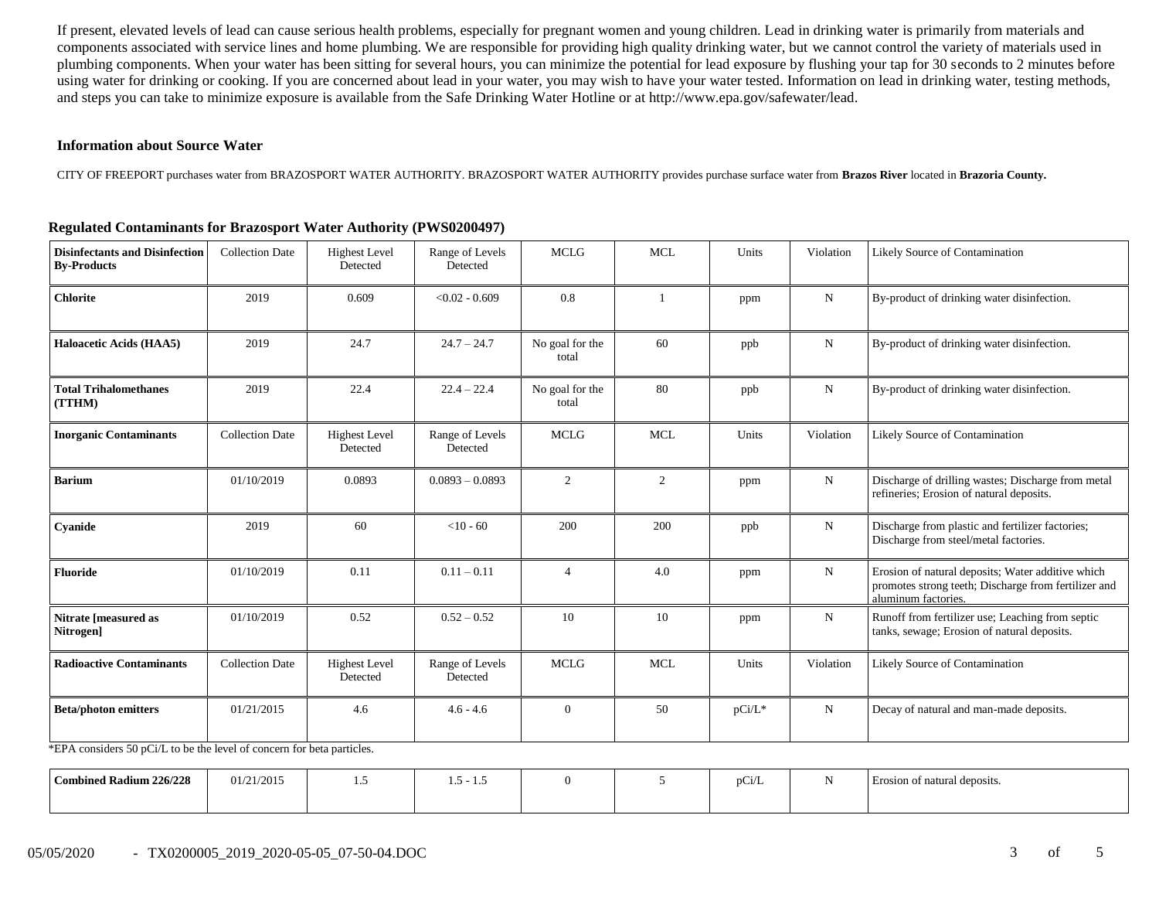If present, elevated levels of lead can cause serious health problems, especially for pregnant women and young children. Lead in drinking water is primarily from materials and components associated with service lines and home plumbing. We are responsible for providing high quality drinking water, but we cannot control the variety of materials used in plumbing components. When your water has been sitting for several hours, you can minimize the potential for lead exposure by flushing your tap for 30 seconds to 2 minutes before using water for drinking or cooking. If you are concerned about lead in your water, you may wish to have your water tested. Information on lead in drinking water, testing methods, and steps you can take to minimize exposure is available from the Safe Drinking Water Hotline or at http://www.epa.gov/safewater/lead.

#### **Information about Source Water**

CITY OF FREEPORT purchases water from BRAZOSPORT WATER AUTHORITY. BRAZOSPORT WATER AUTHORITY provides purchase surface water from **Brazos River** located in **Brazoria County.**

| <b>Disinfectants and Disinfection</b><br><b>By-Products</b> | <b>Collection Date</b> | <b>Highest Level</b><br>Detected | Range of Levels<br>Detected | <b>MCLG</b>              | <b>MCL</b> | Units     | Violation   | Likely Source of Contamination                                                                                                   |
|-------------------------------------------------------------|------------------------|----------------------------------|-----------------------------|--------------------------|------------|-----------|-------------|----------------------------------------------------------------------------------------------------------------------------------|
| <b>Chlorite</b>                                             | 2019                   | 0.609                            | $< 0.02 - 0.609$            | 0.8                      |            | ppm       | $\mathbf N$ | By-product of drinking water disinfection.                                                                                       |
| <b>Haloacetic Acids (HAA5)</b>                              | 2019                   | 24.7                             | $24.7 - 24.7$               | No goal for the<br>total | 60         | ppb       | ${\bf N}$   | By-product of drinking water disinfection.                                                                                       |
| <b>Total Trihalomethanes</b><br>(TTHM)                      | 2019                   | 22.4                             | $22.4 - 22.4$               | No goal for the<br>total | 80         | ppb       | $\mathbf N$ | By-product of drinking water disinfection.                                                                                       |
| <b>Inorganic Contaminants</b>                               | <b>Collection Date</b> | <b>Highest Level</b><br>Detected | Range of Levels<br>Detected | <b>MCLG</b>              | <b>MCL</b> | Units     | Violation   | Likely Source of Contamination                                                                                                   |
| <b>Barium</b>                                               | 01/10/2019             | 0.0893                           | $0.0893 - 0.0893$           | 2                        | 2          | ppm       | $\mathbf N$ | Discharge of drilling wastes; Discharge from metal<br>refineries; Erosion of natural deposits.                                   |
| Cyanide                                                     | 2019                   | 60                               | $<$ 10 - 60                 | 200                      | 200        | ppb       | N           | Discharge from plastic and fertilizer factories;<br>Discharge from steel/metal factories.                                        |
| <b>Fluoride</b>                                             | 01/10/2019             | 0.11                             | $0.11 - 0.11$               | $\overline{4}$           | 4.0        | ppm       | ${\bf N}$   | Erosion of natural deposits; Water additive which<br>promotes strong teeth; Discharge from fertilizer and<br>aluminum factories. |
| Nitrate [measured as<br>Nitrogen]                           | 01/10/2019             | 0.52                             | $0.52 - 0.52$               | 10                       | 10         | ppm       | N           | Runoff from fertilizer use; Leaching from septic<br>tanks, sewage; Erosion of natural deposits.                                  |
| <b>Radioactive Contaminants</b>                             | <b>Collection Date</b> | <b>Highest Level</b><br>Detected | Range of Levels<br>Detected | <b>MCLG</b>              | <b>MCL</b> | Units     | Violation   | Likely Source of Contamination                                                                                                   |
| <b>Beta/photon emitters</b>                                 | 01/21/2015             | 4.6                              | $4.6 - 4.6$                 | $\overline{0}$           | 50         | $pCi/L^*$ | $\mathbf N$ | Decay of natural and man-made deposits.                                                                                          |

## **Regulated Contaminants for Brazosport Water Authority (PWS0200497)**

\*EPA considers 50 pCi/L to be the level of concern for beta particles.

| <b>Combined Radium 226/228</b> | 01/21/2015 | . | --<br>--<br>`-<br>ن د |  | $\sim$<br>pu/l | Erosion of natural deposits. |
|--------------------------------|------------|---|-----------------------|--|----------------|------------------------------|
|                                |            |   |                       |  |                |                              |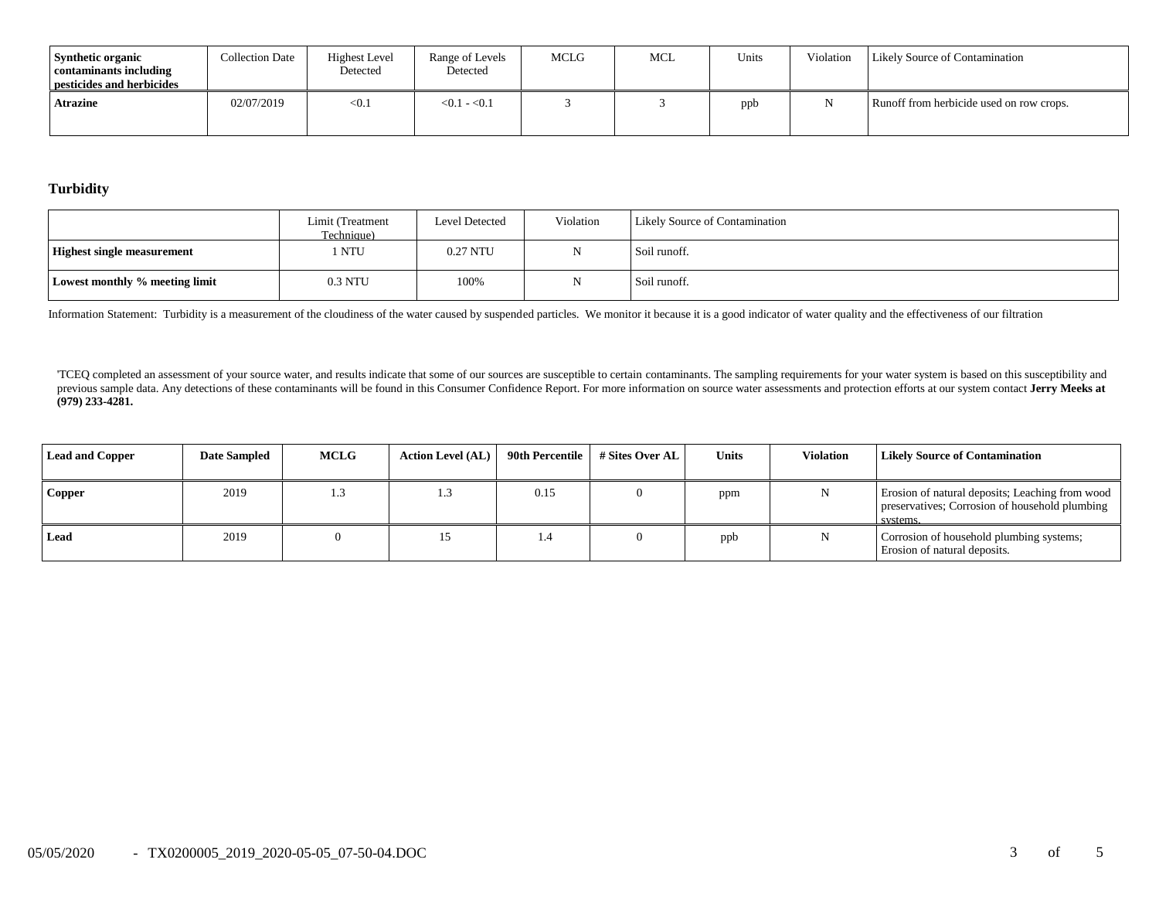| <b>Synthetic organic</b><br>contaminants including<br>pesticides and herbicides | <b>Collection Date</b> | <b>Highest Level</b><br>Detected | Range of Levels<br>Detected | <b>MCLG</b> | MCL | Units | Violation | <b>Likely Source of Contamination</b>    |
|---------------------------------------------------------------------------------|------------------------|----------------------------------|-----------------------------|-------------|-----|-------|-----------|------------------------------------------|
| <b>Atrazine</b>                                                                 | 02/07/2019             | < 0.1                            | $< 0.1 - 0.1$               |             |     | ppb   |           | Runoff from herbicide used on row crops. |

**Turbidity**

|                                   | Limit (Treatment<br>Technique) | <b>Level Detected</b> | Violation | <b>Likely Source of Contamination</b> |
|-----------------------------------|--------------------------------|-----------------------|-----------|---------------------------------------|
| <b>Highest single measurement</b> | NTU)                           | 0.27 NTU              |           | Soil runoff.                          |
| Lowest monthly % meeting limit    | 0.3 NTU                        | 100%                  |           | Soil runoff.                          |

Information Statement: Turbidity is a measurement of the cloudiness of the water caused by suspended particles. We monitor it because it is a good indicator of water quality and the effectiveness of our filtration

'TCEQ completed an assessment of your source water, and results indicate that some of our sources are susceptible to certain contaminants. The sampling requirements for your water system is based on this susceptibility and previous sample data. Any detections of these contaminants will be found in this Consumer Confidence Report. For more information on source water assessments and protection efforts at our system contact Jerry Meeks at **(979) 233-4281.**

| <b>Lead and Copper</b> | <b>Date Sampled</b> | <b>MCLG</b> | <b>Action Level (AL)</b> | 90th Percentile | # Sites Over AL | Units | <b>Violation</b> | <b>Likely Source of Contamination</b>                                                                         |
|------------------------|---------------------|-------------|--------------------------|-----------------|-----------------|-------|------------------|---------------------------------------------------------------------------------------------------------------|
| Copper                 | 2019                | 1.5         |                          | 0.15            |                 | ppm   |                  | Erosion of natural deposits; Leaching from wood<br>preservatives; Corrosion of household plumbing<br>systems. |
| Lead                   | 2019                |             |                          |                 |                 | ppb   |                  | Corrosion of household plumbing systems;<br>Erosion of natural deposits.                                      |